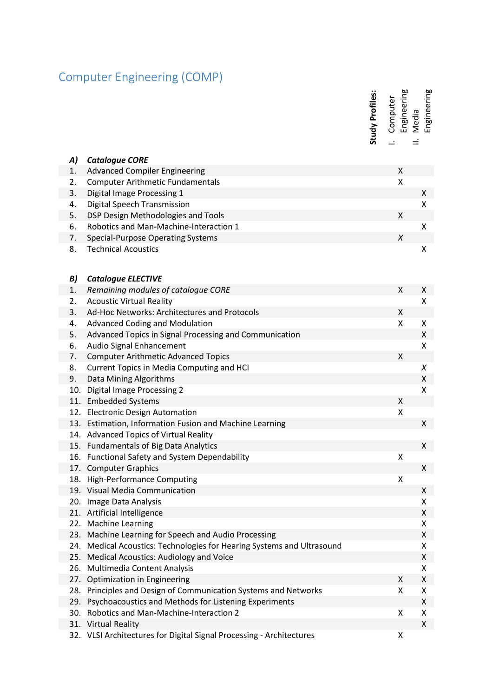## Computer Engineering (COMP)

I. Computer<br>Engineering<br>II. Media<br>Engineering

| A) | <b>Catalogue CORE</b>                                  |   |   |
|----|--------------------------------------------------------|---|---|
| 1. | <b>Advanced Compiler Engineering</b>                   | X |   |
| 2. | <b>Computer Arithmetic Fundamentals</b>                | Χ |   |
| 3. | Digital Image Processing 1                             |   | X |
| 4. | Digital Speech Transmission                            |   | x |
| 5. | DSP Design Methodologies and Tools                     | X |   |
| 6. | Robotics and Man-Machine-Interaction 1                 |   | X |
| 7. | Special-Purpose Operating Systems                      | X |   |
| 8. | <b>Technical Acoustics</b>                             |   | x |
| B) | <b>Catalogue ELECTIVE</b>                              |   |   |
| 1. | Remaining modules of catalogue CORE                    | X | X |
| 2. | <b>Acoustic Virtual Reality</b>                        |   | x |
| 3. | Ad-Hoc Networks: Architectures and Protocols           | X |   |
| 4. | <b>Advanced Coding and Modulation</b>                  | x | x |
| 5  | Advanced Tonics in Signal Processing and Communication |   | v |

|          |                                                                        | Study Profiles: | Engineering<br>Computer<br>$\overline{\phantom{a}}$ | Engineering<br>Media |
|----------|------------------------------------------------------------------------|-----------------|-----------------------------------------------------|----------------------|
| A)       | <b>Catalogue CORE</b>                                                  |                 |                                                     |                      |
| 1.       | <b>Advanced Compiler Engineering</b>                                   |                 | Χ                                                   |                      |
| 2.       | <b>Computer Arithmetic Fundamentals</b>                                |                 | Χ                                                   |                      |
| 3.       | Digital Image Processing 1                                             |                 |                                                     | X                    |
| 4.       | Digital Speech Transmission                                            |                 |                                                     | X                    |
| 5.       | DSP Design Methodologies and Tools                                     |                 | Χ                                                   |                      |
| 6.       | Robotics and Man-Machine-Interaction 1                                 |                 |                                                     | X                    |
| 7.       | <b>Special-Purpose Operating Systems</b>                               |                 | X                                                   |                      |
| 8.       | <b>Technical Acoustics</b>                                             |                 |                                                     | X                    |
| B)       | <b>Catalogue ELECTIVE</b>                                              |                 |                                                     |                      |
| 1.       | Remaining modules of catalogue CORE<br><b>Acoustic Virtual Reality</b> |                 | Χ                                                   | X<br>X               |
| 2.<br>3. | Ad-Hoc Networks: Architectures and Protocols                           |                 | Χ                                                   |                      |
| 4.       | <b>Advanced Coding and Modulation</b>                                  |                 | X                                                   | X                    |
| 5.       | Advanced Topics in Signal Processing and Communication                 |                 |                                                     | X                    |
| 6.       | Audio Signal Enhancement                                               |                 |                                                     | X                    |
| 7.       | <b>Computer Arithmetic Advanced Topics</b>                             |                 | Χ                                                   |                      |
| 8.       | Current Topics in Media Computing and HCI                              |                 |                                                     | X                    |
| 9.       | Data Mining Algorithms                                                 |                 |                                                     | X                    |
| 10.      | Digital Image Processing 2                                             |                 |                                                     | X                    |
|          | 11. Embedded Systems                                                   |                 | Χ                                                   |                      |
|          | 12. Electronic Design Automation                                       |                 | X                                                   |                      |
|          | 13. Estimation, Information Fusion and Machine Learning                |                 |                                                     | X                    |
|          | 14. Advanced Topics of Virtual Reality                                 |                 |                                                     |                      |
|          | 15. Fundamentals of Big Data Analytics                                 |                 |                                                     | X                    |
|          | 16. Functional Safety and System Dependability                         |                 | Χ                                                   |                      |
|          | 17. Computer Graphics                                                  |                 |                                                     | X                    |
| 18.      | <b>High-Performance Computing</b>                                      |                 | Χ                                                   |                      |
|          | 19. Visual Media Communication                                         |                 |                                                     | X                    |
|          | 20. Image Data Analysis                                                |                 |                                                     | X                    |
|          | 21. Artificial Intelligence                                            |                 |                                                     | X                    |
|          | 22. Machine Learning                                                   |                 |                                                     | X                    |
|          | 23. Machine Learning for Speech and Audio Processing                   |                 |                                                     | X                    |
|          | 24. Medical Acoustics: Technologies for Hearing Systems and Ultrasound |                 |                                                     | X                    |
|          | 25. Medical Acoustics: Audiology and Voice                             |                 |                                                     | X                    |
|          | 26. Multimedia Content Analysis                                        |                 |                                                     | X                    |
| 27.      | Optimization in Engineering                                            |                 | X                                                   | X                    |
|          | 28. Principles and Design of Communication Systems and Networks        |                 | Χ                                                   | X                    |
|          | 29. Psychoacoustics and Methods for Listening Experiments              |                 |                                                     | X                    |
| 30.      | Robotics and Man-Machine-Interaction 2                                 |                 | X                                                   | X                    |
|          | 31. Virtual Reality                                                    |                 |                                                     | X                    |
|          | 32. VLSI Architectures for Digital Signal Processing - Architectures   |                 | Χ                                                   |                      |